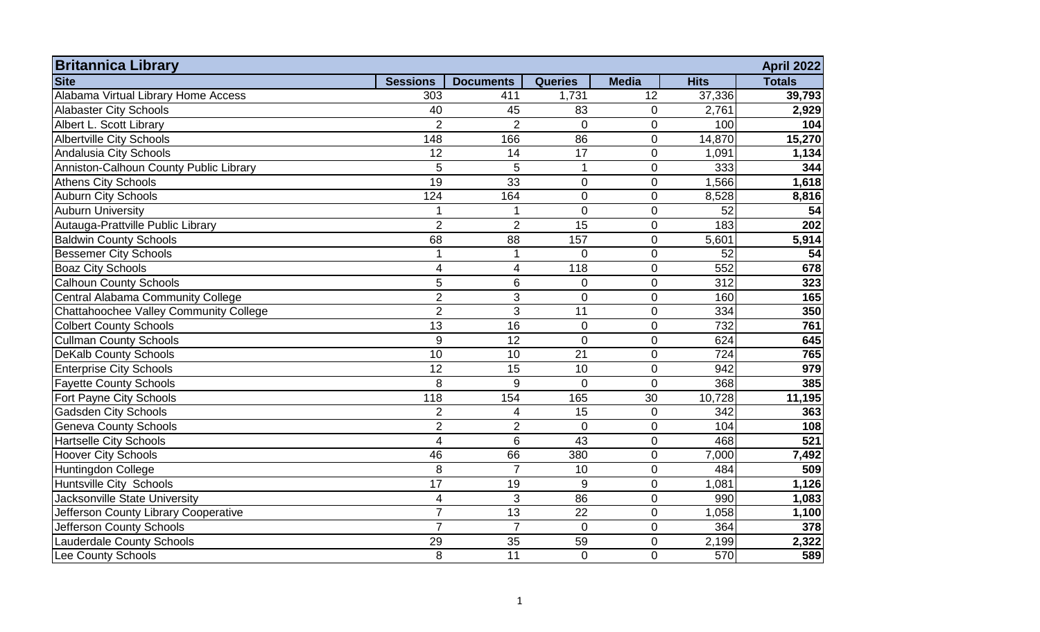| <b>Britannica Library</b><br><b>Site</b> | <b>Sessions</b> |                  | <b>Queries</b>   | <b>Media</b>   | <b>Hits</b> | <b>April 2022</b><br><b>Totals</b> |
|------------------------------------------|-----------------|------------------|------------------|----------------|-------------|------------------------------------|
| Alabama Virtual Library Home Access      |                 | <b>Documents</b> |                  |                |             |                                    |
|                                          | 303             | 411              | 1,731            | 12             | 37,336      | 39,793                             |
| <b>Alabaster City Schools</b>            | 40              | 45               | 83               | $\mathbf 0$    | 2,761       | 2,929                              |
| Albert L. Scott Library                  | $\overline{2}$  | $\overline{2}$   | $\mathbf 0$      | $\mathbf 0$    | 100         | 104                                |
| <b>Albertville City Schools</b>          | 148             | 166              | 86               | $\mathbf 0$    | 14,870      | 15,270                             |
| Andalusia City Schools                   | 12              | 14               | 17               | $\mathbf 0$    | 1,091       | 1,134                              |
| Anniston-Calhoun County Public Library   | 5               | 5                | $\mathbf{1}$     | $\overline{0}$ | 333         | 344                                |
| <b>Athens City Schools</b>               | 19              | 33               | $\mathbf 0$      | $\overline{0}$ | 1,566       | 1,618                              |
| <b>Auburn City Schools</b>               | 124             | 164              | $\mathbf 0$      | $\mathbf 0$    | 8,528       | 8,816                              |
| <b>Auburn University</b>                 |                 | 1                | $\mathbf 0$      | $\overline{0}$ | 52          | 54                                 |
| Autauga-Prattville Public Library        | $\overline{2}$  | $\overline{2}$   | 15               | $\pmb{0}$      | 183         | 202                                |
| <b>Baldwin County Schools</b>            | 68              | 88               | 157              | $\mathbf 0$    | 5,601       | 5,914                              |
| <b>Bessemer City Schools</b>             |                 | $\mathbf 1$      | $\overline{0}$   | $\mathbf 0$    | 52          | 54                                 |
| <b>Boaz City Schools</b>                 | 4               | $\overline{4}$   | 118              | $\overline{0}$ | 552         | 678                                |
| <b>Calhoun County Schools</b>            | 5               | $\,6$            | $\mathbf 0$      | $\mathbf 0$    | 312         | 323                                |
| Central Alabama Community College        | $\overline{2}$  | $\mathfrak{S}$   | $\mathbf 0$      | $\mathbf 0$    | 160         | 165                                |
| Chattahoochee Valley Community College   | $\overline{2}$  | $\overline{3}$   | 11               | $\mathbf 0$    | 334         | 350                                |
| <b>Colbert County Schools</b>            | $\overline{13}$ | $\overline{16}$  | $\pmb{0}$        | $\mathbf 0$    | 732         | 761                                |
| <b>Cullman County Schools</b>            | 9               | 12               | $\mathbf 0$      | $\overline{0}$ | 624         | 645                                |
| <b>DeKalb County Schools</b>             | 10              | 10               | 21               | $\overline{0}$ | 724         | 765                                |
| <b>Enterprise City Schools</b>           | $\overline{12}$ | 15               | 10               | $\overline{0}$ | 942         | 979                                |
| <b>Fayette County Schools</b>            | 8               | 9                | $\overline{0}$   | $\mathbf 0$    | 368         | 385                                |
| Fort Payne City Schools                  | 118             | 154              | 165              | 30             | 10,728      | 11,195                             |
| <b>Gadsden City Schools</b>              | $\overline{2}$  | 4                | 15               | $\mathbf 0$    | 342         | 363                                |
| <b>Geneva County Schools</b>             | $\overline{2}$  | $\overline{2}$   | $\mathbf 0$      | $\mathbf 0$    | 104         | 108                                |
| <b>Hartselle City Schools</b>            | 4               | 6                | 43               | $\mathbf 0$    | 468         | 521                                |
| <b>Hoover City Schools</b>               | 46              | 66               | 380              | $\mathbf 0$    | 7,000       | 7,492                              |
| Huntingdon College                       | 8               | $\overline{7}$   | 10               | $\mathbf 0$    | 484         | 509                                |
| Huntsville City Schools                  | $\overline{17}$ | 19               | $\boldsymbol{9}$ | $\pmb{0}$      | 1,081       | 1,126                              |
| Jacksonville State University            | 4               | $\sqrt{3}$       | 86               | $\mathbf 0$    | 990         | 1,083                              |
| Jefferson County Library Cooperative     | $\overline{7}$  | 13               | 22               | $\mathbf 0$    | 1,058       | 1,100                              |
| Jefferson County Schools                 | $\overline{7}$  | $\overline{7}$   | $\mathbf 0$      | $\mathbf 0$    | 364         | 378                                |
| <b>Lauderdale County Schools</b>         | 29              | 35               | 59               | $\overline{0}$ | 2,199       | 2,322                              |
| Lee County Schools                       | 8               | $\overline{11}$  | $\mathbf 0$      | $\overline{0}$ | 570         | 589                                |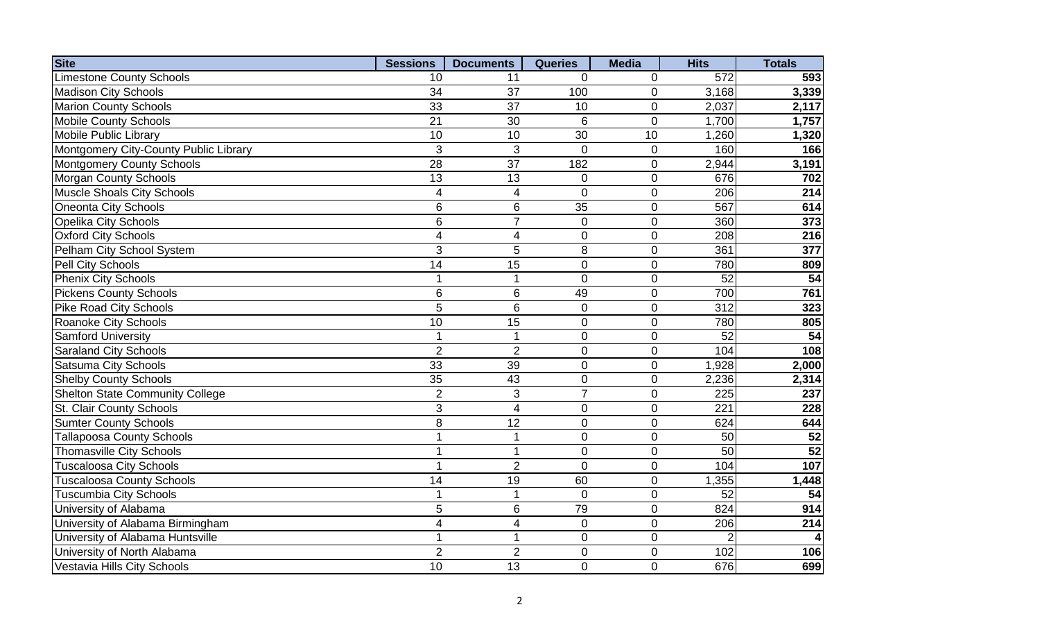| <b>Site</b>                            | <b>Sessions</b> | <b>Documents</b> | <b>Queries</b>  | <b>Media</b>     | <b>Hits</b>     | <b>Totals</b>   |
|----------------------------------------|-----------------|------------------|-----------------|------------------|-----------------|-----------------|
| <b>Limestone County Schools</b>        | 10              | 11               | $\Omega$        | 0                | 572             | 593             |
| <b>Madison City Schools</b>            | 34              | 37               | 100             | $\mathbf 0$      | 3,168           | 3,339           |
| <b>Marion County Schools</b>           | 33              | 37               | 10              | $\mathbf 0$      | 2,037           | 2,117           |
| <b>Mobile County Schools</b>           | 21              | 30               | 6               | $\mathbf 0$      | 1,700           | 1,757           |
| Mobile Public Library                  | 10              | 10               | 30              | 10               | 1,260           | 1,320           |
| Montgomery City-County Public Library  | 3               | 3                | $\Omega$        | 0                | 160             | 166             |
| Montgomery County Schools              | 28              | 37               | 182             | $\mathbf 0$      | 2,944           | 3,191           |
| <b>Morgan County Schools</b>           | 13              | 13               | $\overline{0}$  | $\mathbf 0$      | 676             | 702             |
| <b>Muscle Shoals City Schools</b>      | 4               | 4                | $\Omega$        | $\mathbf 0$      | 206             | 214             |
| Oneonta City Schools                   | 6               | 6                | $\overline{35}$ | $\mathbf 0$      | 567             | 614             |
| <b>Opelika City Schools</b>            | 6               | $\overline{7}$   | $\overline{0}$  | $\mathbf 0$      | 360             | 373             |
| <b>Oxford City Schools</b>             | $\overline{4}$  | $\overline{4}$   | $\overline{0}$  | $\mathbf 0$      | 208             | 216             |
| Pelham City School System              | 3               | 5                | 8               | $\mathbf 0$      | 361             | 377             |
| Pell City Schools                      | $\overline{14}$ | 15               | $\mathbf 0$     | $\boldsymbol{0}$ | 780             | 809             |
| <b>Phenix City Schools</b>             | $\mathbf 1$     | 1                | $\overline{0}$  | $\boldsymbol{0}$ | $\overline{52}$ | 54              |
| <b>Pickens County Schools</b>          | 6               | 6                | 49              | $\mathbf 0$      | 700             | 761             |
| <b>Pike Road City Schools</b>          | 5               | 6                | $\overline{0}$  | $\mathbf 0$      | 312             | 323             |
| Roanoke City Schools                   | 10              | 15               | $\overline{0}$  | $\overline{0}$   | 780             | 805             |
| <b>Samford University</b>              | 1               |                  | $\overline{0}$  | $\mathbf 0$      | 52              | 54              |
| <b>Saraland City Schools</b>           | $\overline{2}$  | $\overline{2}$   | $\overline{0}$  | $\mathbf 0$      | 104             | 108             |
| <b>Satsuma City Schools</b>            | 33              | 39               | $\overline{0}$  | $\mathbf 0$      | 1,928           | 2,000           |
| <b>Shelby County Schools</b>           | 35              | 43               | $\mathbf 0$     | $\mathbf 0$      | 2,236           | 2,314           |
| <b>Shelton State Community College</b> | $\overline{2}$  | 3                | $\overline{7}$  | $\mathbf 0$      | 225             | 237             |
| St. Clair County Schools               | 3               | $\overline{4}$   | $\overline{0}$  | $\mathbf 0$      | 221             | 228             |
| <b>Sumter County Schools</b>           | 8               | $\overline{12}$  | $\overline{0}$  | $\mathbf 0$      | 624             | 644             |
| <b>Tallapoosa County Schools</b>       | 1               | 1                | $\overline{0}$  | $\mathbf 0$      | 50              | 52              |
| <b>Thomasville City Schools</b>        | 1               | 1                | $\overline{0}$  | $\mathbf 0$      | 50              | $\overline{52}$ |
| <b>Tuscaloosa City Schools</b>         |                 | $\overline{2}$   | $\Omega$        | $\mathbf 0$      | 104             | 107             |
| <b>Tuscaloosa County Schools</b>       | 14              | 19               | 60              | $\mathbf 0$      | 1,355           | 1,448           |
| <b>Tuscumbia City Schools</b>          | $\mathbf 1$     | 1                | $\Omega$        | $\mathbf 0$      | 52              | 54              |
| University of Alabama                  | 5               | 6                | 79              | $\mathbf 0$      | 824             | 914             |
| University of Alabama Birmingham       | $\overline{4}$  | $\overline{4}$   | $\overline{0}$  | $\overline{0}$   | 206             | 214             |
| University of Alabama Huntsville       | 1               | $\mathbf{1}$     | $\overline{0}$  | $\overline{0}$   | 2               |                 |
| University of North Alabama            | $\overline{2}$  | $\overline{2}$   | $\overline{0}$  | $\mathbf 0$      | 102             | 106             |
| Vestavia Hills City Schools            | 10              | 13               | $\overline{0}$  | $\overline{0}$   | 676             | 699             |